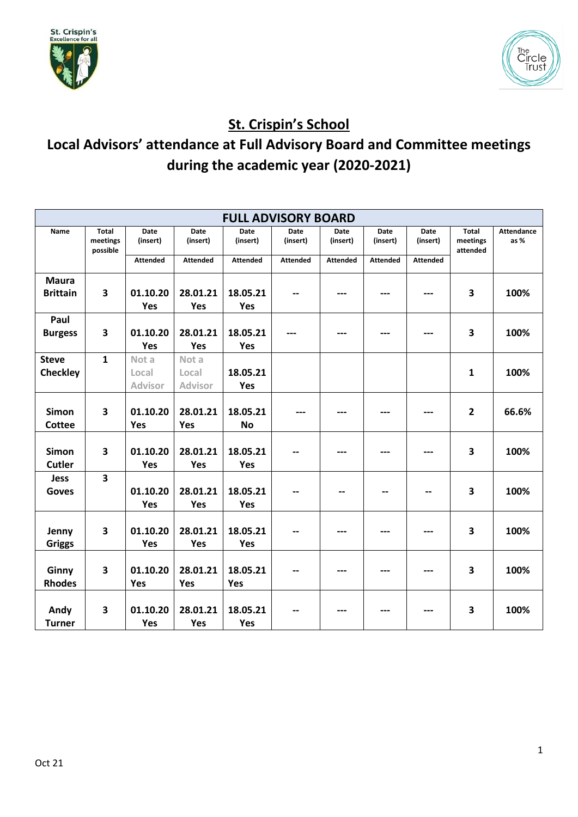



## **St. Crispin's School**

## **Local Advisors' attendance at Full Advisory Board and Committee meetings during the academic year (2020-2021)**

|                        |                                      |                         |                  | <b>FULL ADVISORY BOARD</b> |                         |                         |                         |                         |                                      |                           |
|------------------------|--------------------------------------|-------------------------|------------------|----------------------------|-------------------------|-------------------------|-------------------------|-------------------------|--------------------------------------|---------------------------|
| Name                   | <b>Total</b><br>meetings<br>possible | <b>Date</b><br>(insert) | Date<br>(insert) | <b>Date</b><br>(insert)    | <b>Date</b><br>(insert) | <b>Date</b><br>(insert) | <b>Date</b><br>(insert) | <b>Date</b><br>(insert) | <b>Total</b><br>meetings<br>attended | <b>Attendance</b><br>as % |
|                        |                                      | <b>Attended</b>         | <b>Attended</b>  | <b>Attended</b>            | <b>Attended</b>         | <b>Attended</b>         | <b>Attended</b>         | <b>Attended</b>         |                                      |                           |
| <b>Maura</b>           |                                      |                         |                  |                            |                         |                         |                         |                         |                                      |                           |
| <b>Brittain</b>        | $\overline{\mathbf{3}}$              | 01.10.20                | 28.01.21         | 18.05.21                   |                         |                         |                         |                         | 3                                    | 100%                      |
|                        |                                      | Yes                     | Yes              | Yes                        |                         |                         |                         |                         |                                      |                           |
| Paul<br><b>Burgess</b> | 3                                    | 01.10.20                | 28.01.21         | 18.05.21                   |                         |                         |                         |                         | 3                                    | 100%                      |
|                        |                                      | Yes                     | Yes              | Yes                        |                         |                         |                         |                         |                                      |                           |
| <b>Steve</b>           | $\mathbf{1}$                         | Not a                   | Not a            |                            |                         |                         |                         |                         |                                      |                           |
| <b>Checkley</b>        |                                      | Local                   | Local            | 18.05.21                   |                         |                         |                         |                         | 1                                    | 100%                      |
|                        |                                      | <b>Advisor</b>          | Advisor          | Yes                        |                         |                         |                         |                         |                                      |                           |
|                        |                                      |                         |                  |                            |                         |                         |                         |                         |                                      |                           |
| <b>Simon</b>           | 3                                    | 01.10.20                | 28.01.21         | 18.05.21                   |                         |                         |                         |                         | $\overline{2}$                       | 66.6%                     |
| Cottee                 |                                      | Yes                     | Yes              | <b>No</b>                  |                         |                         |                         |                         |                                      |                           |
|                        |                                      |                         |                  |                            |                         |                         |                         |                         |                                      |                           |
| <b>Simon</b><br>Cutler | $\overline{\mathbf{3}}$              | 01.10.20<br>Yes         | 28.01.21<br>Yes  | 18.05.21<br>Yes            |                         |                         |                         |                         | 3                                    | 100%                      |
| <b>Jess</b>            | $\overline{\mathbf{3}}$              |                         |                  |                            |                         |                         |                         |                         |                                      |                           |
| <b>Goves</b>           |                                      | 01.10.20                | 28.01.21         | 18.05.21                   |                         |                         |                         |                         | 3                                    | 100%                      |
|                        |                                      | Yes                     | Yes              | Yes                        |                         |                         |                         |                         |                                      |                           |
|                        |                                      |                         |                  |                            |                         |                         |                         |                         |                                      |                           |
| Jenny                  | 3                                    | 01.10.20                | 28.01.21         | 18.05.21                   |                         |                         |                         |                         | 3                                    | 100%                      |
| <b>Griggs</b>          |                                      | Yes                     | Yes              | Yes                        |                         |                         |                         |                         |                                      |                           |
|                        |                                      |                         |                  |                            |                         |                         |                         |                         |                                      |                           |
| Ginny                  | 3                                    | 01.10.20                | 28.01.21         | 18.05.21                   |                         |                         |                         |                         | 3                                    | 100%                      |
| <b>Rhodes</b>          |                                      | Yes                     | Yes              | Yes                        |                         |                         |                         |                         |                                      |                           |
|                        |                                      |                         |                  |                            |                         |                         |                         |                         |                                      |                           |
| Andy                   | 3                                    | 01.10.20                | 28.01.21         | 18.05.21                   |                         |                         |                         |                         | 3                                    | 100%                      |
| <b>Turner</b>          |                                      | Yes                     | Yes              | Yes                        |                         |                         |                         |                         |                                      |                           |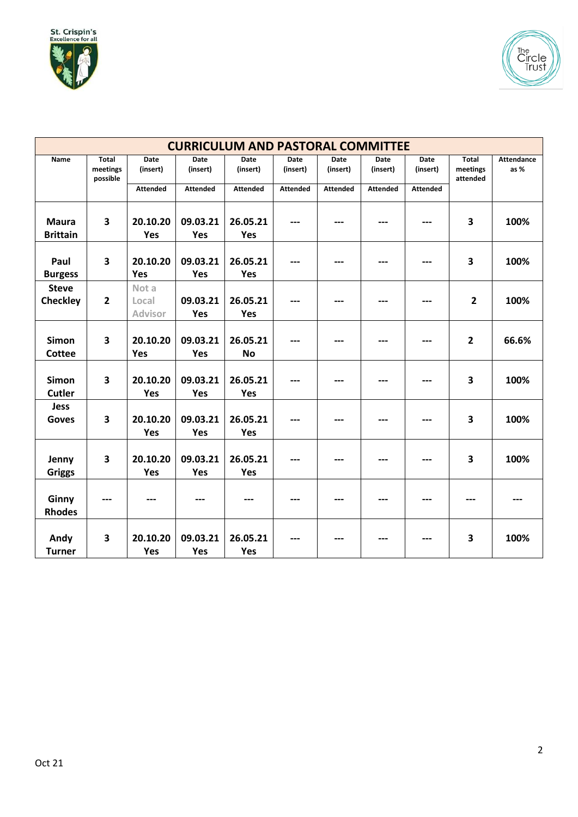



|                                 |                                      |                                  | <b>CURRICULUM AND PASTORAL COMMITTEE</b> |                       |                  |                  |                         |                  |                               |                           |
|---------------------------------|--------------------------------------|----------------------------------|------------------------------------------|-----------------------|------------------|------------------|-------------------------|------------------|-------------------------------|---------------------------|
| Name                            | <b>Total</b><br>meetings<br>possible | Date<br>(insert)                 | Date<br>(insert)                         | Date<br>(insert)      | Date<br>(insert) | Date<br>(insert) | <b>Date</b><br>(insert) | Date<br>(insert) | Total<br>meetings<br>attended | <b>Attendance</b><br>as % |
|                                 |                                      | <b>Attended</b>                  | <b>Attended</b>                          | <b>Attended</b>       | <b>Attended</b>  | <b>Attended</b>  | <b>Attended</b>         | <b>Attended</b>  |                               |                           |
| <b>Maura</b><br><b>Brittain</b> | 3                                    | 20.10.20<br>Yes                  | 09.03.21<br>Yes                          | 26.05.21<br>Yes       |                  |                  | ---                     |                  | 3                             | 100%                      |
| Paul<br><b>Burgess</b>          | 3                                    | 20.10.20<br>Yes                  | 09.03.21<br>Yes                          | 26.05.21<br>Yes       |                  |                  |                         |                  | 3                             | 100%                      |
| <b>Steve</b><br><b>Checkley</b> | $\overline{2}$                       | Not a<br>Local<br><b>Advisor</b> | 09.03.21<br>Yes                          | 26.05.21<br>Yes       |                  |                  |                         |                  | $\overline{2}$                | 100%                      |
| Simon<br>Cottee                 | 3                                    | 20.10.20<br><b>Yes</b>           | 09.03.21<br>Yes                          | 26.05.21<br><b>No</b> |                  |                  |                         |                  | $\overline{2}$                | 66.6%                     |
| <b>Simon</b><br>Cutler          | $\overline{\mathbf{3}}$              | 20.10.20<br>Yes                  | 09.03.21<br>Yes                          | 26.05.21<br>Yes       |                  |                  | ---                     |                  | 3                             | 100%                      |
| <b>Jess</b><br><b>Goves</b>     | 3                                    | 20.10.20<br>Yes                  | 09.03.21<br>Yes                          | 26.05.21<br>Yes       |                  |                  |                         |                  | 3                             | 100%                      |
| Jenny<br><b>Griggs</b>          | 3                                    | 20.10.20<br>Yes                  | 09.03.21<br>Yes                          | 26.05.21<br>Yes       | ---              |                  | ---                     | ---              | 3                             | 100%                      |
| Ginny<br><b>Rhodes</b>          |                                      |                                  |                                          |                       |                  |                  |                         |                  |                               |                           |
| Andy<br><b>Turner</b>           | 3                                    | 20.10.20<br>Yes                  | 09.03.21<br>Yes                          | 26.05.21<br>Yes       |                  |                  |                         | ---              | 3                             | 100%                      |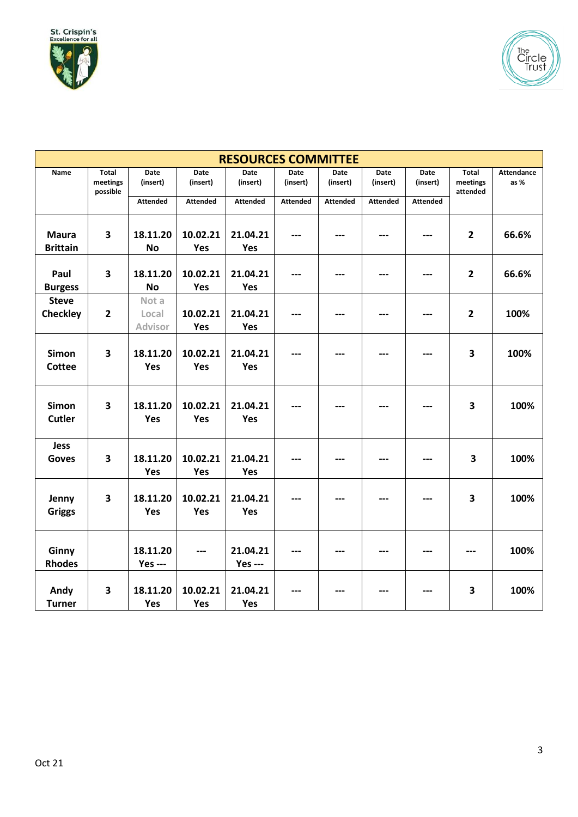

|                                 |                               |                            |                  | <b>RESOURCES COMMITTEE</b> |                  |                  |                  |                  |                                      |                          |
|---------------------------------|-------------------------------|----------------------------|------------------|----------------------------|------------------|------------------|------------------|------------------|--------------------------------------|--------------------------|
| Name                            | Total<br>meetings<br>possible | Date<br>(insert)           | Date<br>(insert) | Date<br>(insert)           | Date<br>(insert) | Date<br>(insert) | Date<br>(insert) | Date<br>(insert) | <b>Total</b><br>meetings<br>attended | <b>Attendance</b><br>as% |
|                                 |                               | <b>Attended</b>            | <b>Attended</b>  | <b>Attended</b>            | <b>Attended</b>  | <b>Attended</b>  | <b>Attended</b>  | <b>Attended</b>  |                                      |                          |
| <b>Maura</b><br><b>Brittain</b> | $\overline{\mathbf{3}}$       | 18.11.20<br><b>No</b>      | 10.02.21<br>Yes  | 21.04.21<br>Yes            |                  |                  |                  |                  | $\overline{2}$                       | 66.6%                    |
| Paul<br><b>Burgess</b>          | 3                             | 18.11.20<br><b>No</b>      | 10.02.21<br>Yes  | 21.04.21<br>Yes            | ---              |                  |                  |                  | $\overline{2}$                       | 66.6%                    |
| <b>Steve</b><br><b>Checkley</b> | $\overline{\mathbf{2}}$       | Not a<br>Local<br>Advisor  | 10.02.21<br>Yes  | 21.04.21<br>Yes            |                  |                  |                  |                  | $\overline{2}$                       | 100%                     |
| Simon<br>Cottee                 | 3                             | 18.11.20<br>Yes            | 10.02.21<br>Yes  | 21.04.21<br>Yes            |                  |                  |                  |                  | 3                                    | 100%                     |
| <b>Simon</b><br><b>Cutler</b>   | 3                             | 18.11.20<br>Yes            | 10.02.21<br>Yes  | 21.04.21<br>Yes            |                  |                  |                  |                  | 3                                    | 100%                     |
| <b>Jess</b><br>Goves            | 3                             | 18.11.20<br>Yes            | 10.02.21<br>Yes  | 21.04.21<br>Yes            |                  |                  |                  |                  | 3                                    | 100%                     |
| Jenny<br><b>Griggs</b>          | 3                             | 18.11.20<br>Yes            | 10.02.21<br>Yes  | 21.04.21<br>Yes            |                  |                  |                  |                  | 3                                    | 100%                     |
| Ginny<br><b>Rhodes</b>          |                               | 18.11.20<br><b>Yes ---</b> |                  | 21.04.21<br><b>Yes ---</b> |                  |                  |                  |                  |                                      | 100%                     |
| Andy<br><b>Turner</b>           | $\overline{\mathbf{3}}$       | 18.11.20<br>Yes            | 10.02.21<br>Yes  | 21.04.21<br>Yes            |                  |                  | ---              |                  | 3                                    | 100%                     |